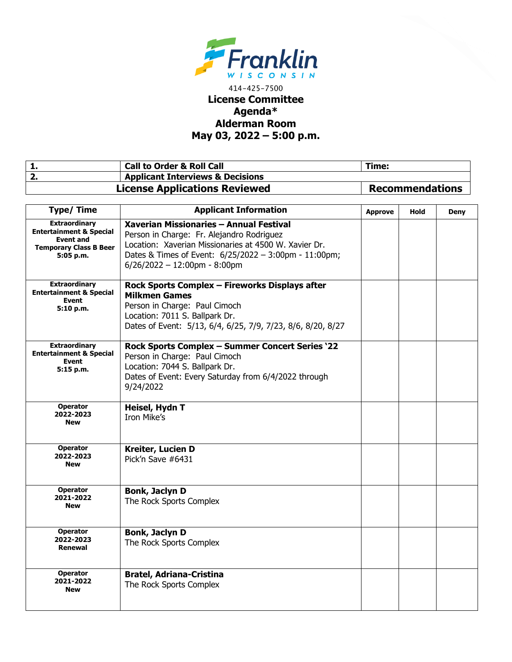

## 414-425-7500 **License Committee Agenda\* Alderman Room May 03, 2022 – 5:00 p.m.**

| <b>Call to Order &amp; Roll Call</b>        | Time:                  |
|---------------------------------------------|------------------------|
| <b>Applicant Interviews &amp; Decisions</b> |                        |
| <b>License Applications Reviewed</b>        | <b>Recommendations</b> |

| <b>Type/Time</b>                                                                                                             | <b>Applicant Information</b>                                                                                                                                                                                                              | <b>Approve</b> | Hold | Deny |
|------------------------------------------------------------------------------------------------------------------------------|-------------------------------------------------------------------------------------------------------------------------------------------------------------------------------------------------------------------------------------------|----------------|------|------|
| <b>Extraordinary</b><br><b>Entertainment &amp; Special</b><br><b>Event and</b><br><b>Temporary Class B Beer</b><br>5:05 p.m. | Xaverian Missionaries - Annual Festival<br>Person in Charge: Fr. Alejandro Rodriguez<br>Location: Xaverian Missionaries at 4500 W. Xavier Dr.<br>Dates & Times of Event: 6/25/2022 - 3:00pm - 11:00pm;<br>$6/26/2022 - 12:00$ pm - 8:00pm |                |      |      |
| <b>Extraordinary</b><br><b>Entertainment &amp; Special</b><br><b>Event</b><br>5:10 p.m.                                      | Rock Sports Complex - Fireworks Displays after<br><b>Milkmen Games</b><br>Person in Charge: Paul Cimoch<br>Location: 7011 S. Ballpark Dr.<br>Dates of Event: 5/13, 6/4, 6/25, 7/9, 7/23, 8/6, 8/20, 8/27                                  |                |      |      |
| <b>Extraordinary</b><br><b>Entertainment &amp; Special</b><br><b>Event</b><br>5:15 p.m.                                      | Rock Sports Complex - Summer Concert Series '22<br>Person in Charge: Paul Cimoch<br>Location: 7044 S. Ballpark Dr.<br>Dates of Event: Every Saturday from 6/4/2022 through<br>9/24/2022                                                   |                |      |      |
| <b>Operator</b><br>2022-2023<br><b>New</b>                                                                                   | Heisel, Hydn T<br>Iron Mike's                                                                                                                                                                                                             |                |      |      |
| <b>Operator</b><br>2022-2023<br><b>New</b>                                                                                   | Kreiter, Lucien D<br>Pick'n Save #6431                                                                                                                                                                                                    |                |      |      |
| <b>Operator</b><br>2021-2022<br><b>New</b>                                                                                   | <b>Bonk, Jaclyn D</b><br>The Rock Sports Complex                                                                                                                                                                                          |                |      |      |
| <b>Operator</b><br>2022-2023<br><b>Renewal</b>                                                                               | <b>Bonk, Jaclyn D</b><br>The Rock Sports Complex                                                                                                                                                                                          |                |      |      |
| <b>Operator</b><br>2021-2022<br><b>New</b>                                                                                   | <b>Bratel, Adriana-Cristina</b><br>The Rock Sports Complex                                                                                                                                                                                |                |      |      |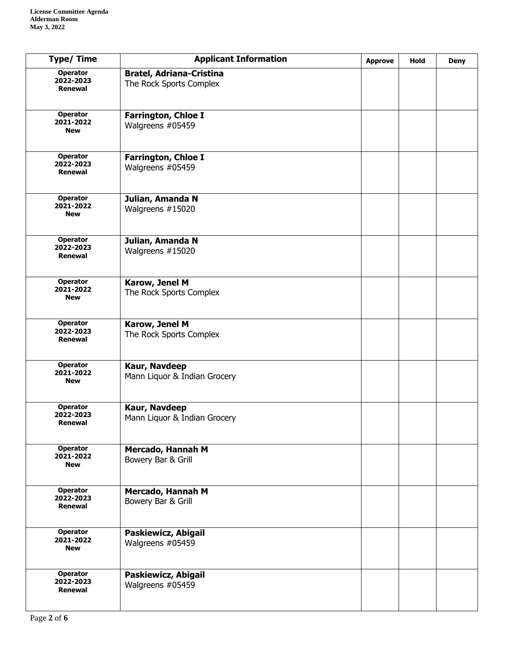| <b>Type/Time</b>                               | <b>Applicant Information</b>                               | <b>Approve</b> | Hold | <b>Deny</b> |
|------------------------------------------------|------------------------------------------------------------|----------------|------|-------------|
| <b>Operator</b><br>2022-2023<br><b>Renewal</b> | <b>Bratel, Adriana-Cristina</b><br>The Rock Sports Complex |                |      |             |
| <b>Operator</b><br>2021-2022<br><b>New</b>     | Farrington, Chloe I<br>Walgreens #05459                    |                |      |             |
| <b>Operator</b><br>2022-2023<br><b>Renewal</b> | <b>Farrington, Chloe I</b><br>Walgreens #05459             |                |      |             |
| <b>Operator</b><br>2021-2022<br><b>New</b>     | Julian, Amanda N<br>Walgreens #15020                       |                |      |             |
| <b>Operator</b><br>2022-2023<br>Renewal        | Julian, Amanda N<br>Walgreens #15020                       |                |      |             |
| <b>Operator</b><br>2021-2022<br><b>New</b>     | Karow, Jenel M<br>The Rock Sports Complex                  |                |      |             |
| <b>Operator</b><br>2022-2023<br>Renewal        | Karow, Jenel M<br>The Rock Sports Complex                  |                |      |             |
| <b>Operator</b><br>2021-2022<br><b>New</b>     | Kaur, Navdeep<br>Mann Liquor & Indian Grocery              |                |      |             |
| Operator<br>2022-2023<br>Renewal               | Kaur, Navdeep<br>Mann Liquor & Indian Grocery              |                |      |             |
| Operator<br>2021-2022<br><b>New</b>            | Mercado, Hannah M<br>Bowery Bar & Grill                    |                |      |             |
| Operator<br>2022-2023<br>Renewal               | Mercado, Hannah M<br>Bowery Bar & Grill                    |                |      |             |
| <b>Operator</b><br>2021-2022<br><b>New</b>     | Paskiewicz, Abigail<br>Walgreens #05459                    |                |      |             |
| <b>Operator</b><br>2022-2023<br>Renewal        | Paskiewicz, Abigail<br>Walgreens #05459                    |                |      |             |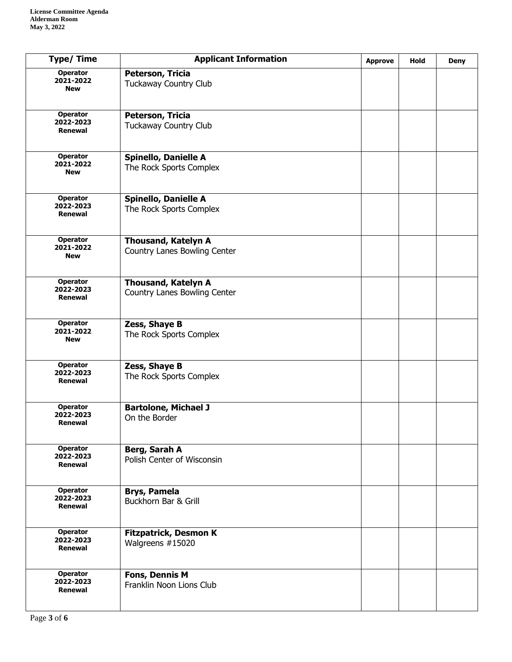| <b>Type/Time</b>                               | <b>Applicant Information</b>                               | <b>Approve</b> | Hold | <b>Deny</b> |
|------------------------------------------------|------------------------------------------------------------|----------------|------|-------------|
| <b>Operator</b><br>2021-2022<br><b>New</b>     | Peterson, Tricia<br>Tuckaway Country Club                  |                |      |             |
| <b>Operator</b><br>2022-2023<br><b>Renewal</b> | Peterson, Tricia<br>Tuckaway Country Club                  |                |      |             |
| <b>Operator</b><br>2021-2022<br><b>New</b>     | <b>Spinello, Danielle A</b><br>The Rock Sports Complex     |                |      |             |
| <b>Operator</b><br>2022-2023<br>Renewal        | <b>Spinello, Danielle A</b><br>The Rock Sports Complex     |                |      |             |
| <b>Operator</b><br>2021-2022<br><b>New</b>     | <b>Thousand, Katelyn A</b><br>Country Lanes Bowling Center |                |      |             |
| <b>Operator</b><br>2022-2023<br><b>Renewal</b> | <b>Thousand, Katelyn A</b><br>Country Lanes Bowling Center |                |      |             |
| Operator<br>2021-2022<br><b>New</b>            | Zess, Shaye B<br>The Rock Sports Complex                   |                |      |             |
| <b>Operator</b><br>2022-2023<br>Renewal        | Zess, Shaye B<br>The Rock Sports Complex                   |                |      |             |
| <b>Operator</b><br>2022-2023<br>Renewal        | <b>Bartolone, Michael J</b><br>On the Border               |                |      |             |
| Operator<br>2022-2023<br>Renewal               | Berg, Sarah A<br>Polish Center of Wisconsin                |                |      |             |
| <b>Operator</b><br>2022-2023<br>Renewal        | <b>Brys, Pamela</b><br>Buckhorn Bar & Grill                |                |      |             |
| <b>Operator</b><br>2022-2023<br>Renewal        | <b>Fitzpatrick, Desmon K</b><br>Walgreens #15020           |                |      |             |
| <b>Operator</b><br>2022-2023<br><b>Renewal</b> | <b>Fons, Dennis M</b><br>Franklin Noon Lions Club          |                |      |             |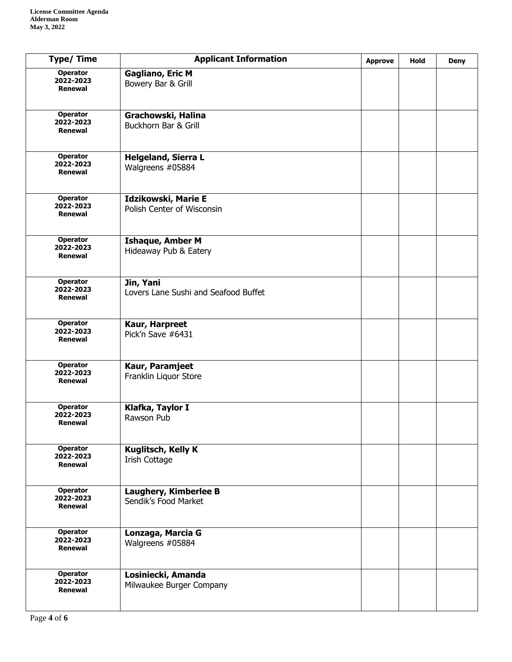| <b>Type/Time</b>                               | <b>Applicant Information</b>                      | <b>Approve</b> | Hold | <b>Deny</b> |
|------------------------------------------------|---------------------------------------------------|----------------|------|-------------|
| <b>Operator</b><br>2022-2023<br>Renewal        | <b>Gagliano, Eric M</b><br>Bowery Bar & Grill     |                |      |             |
| <b>Operator</b><br>2022-2023<br>Renewal        | Grachowski, Halina<br>Buckhorn Bar & Grill        |                |      |             |
| <b>Operator</b><br>2022-2023<br><b>Renewal</b> | <b>Helgeland, Sierra L</b><br>Walgreens #05884    |                |      |             |
| <b>Operator</b><br>2022-2023<br><b>Renewal</b> | Idzikowski, Marie E<br>Polish Center of Wisconsin |                |      |             |
| <b>Operator</b><br>2022-2023<br>Renewal        | <b>Ishaque, Amber M</b><br>Hideaway Pub & Eatery  |                |      |             |
| <b>Operator</b><br>2022-2023<br><b>Renewal</b> | Jin, Yani<br>Lovers Lane Sushi and Seafood Buffet |                |      |             |
| <b>Operator</b><br>2022-2023<br>Renewal        | Kaur, Harpreet<br>Pick'n Save #6431               |                |      |             |
| <b>Operator</b><br>2022-2023<br>Renewal        | Kaur, Paramjeet<br>Franklin Liquor Store          |                |      |             |
| Operator<br>2022-2023<br>Renewal               | Klafka, Taylor I<br>Rawson Pub                    |                |      |             |
| <b>Operator</b><br>2022-2023<br>Renewal        | Kuglitsch, Kelly K<br>Irish Cottage               |                |      |             |
| Operator<br>2022-2023<br>Renewal               | Laughery, Kimberlee B<br>Sendik's Food Market     |                |      |             |
| <b>Operator</b><br>2022-2023<br>Renewal        | Lonzaga, Marcia G<br>Walgreens #05884             |                |      |             |
| <b>Operator</b><br>2022-2023<br>Renewal        | Losiniecki, Amanda<br>Milwaukee Burger Company    |                |      |             |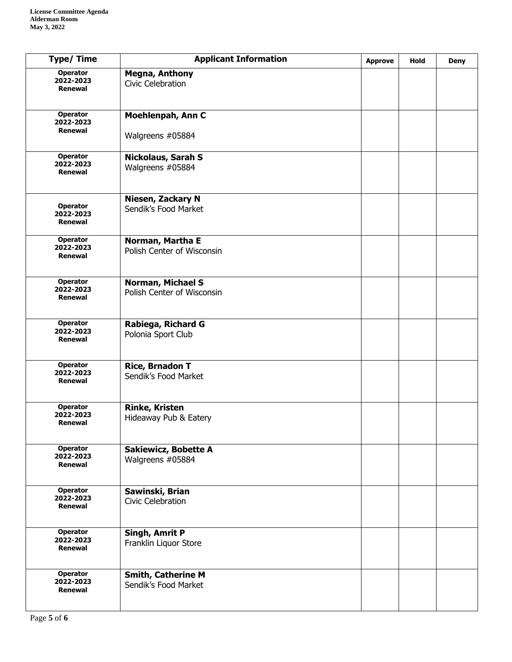| <b>Type/ Time</b>                              | <b>Applicant Information</b>                      | <b>Approve</b> | <b>Hold</b> | <b>Deny</b> |
|------------------------------------------------|---------------------------------------------------|----------------|-------------|-------------|
| <b>Operator</b><br>2022-2023<br>Renewal        | <b>Megna, Anthony</b><br>Civic Celebration        |                |             |             |
| <b>Operator</b><br>2022-2023<br>Renewal        | Moehlenpah, Ann C                                 |                |             |             |
|                                                | Walgreens #05884                                  |                |             |             |
| Operator<br>2022-2023<br><b>Renewal</b>        | Nickolaus, Sarah S<br>Walgreens #05884            |                |             |             |
| <b>Operator</b><br>2022-2023<br><b>Renewal</b> | Niesen, Zackary N<br>Sendik's Food Market         |                |             |             |
| <b>Operator</b><br>2022-2023<br>Renewal        | Norman, Martha E<br>Polish Center of Wisconsin    |                |             |             |
| <b>Operator</b><br>2022-2023<br><b>Renewal</b> | Norman, Michael S<br>Polish Center of Wisconsin   |                |             |             |
| <b>Operator</b><br>2022-2023<br><b>Renewal</b> | Rabiega, Richard G<br>Polonia Sport Club          |                |             |             |
| <b>Operator</b><br>2022-2023<br>Renewal        | <b>Rice, Brnadon T</b><br>Sendik's Food Market    |                |             |             |
| Operator<br>2022-2023<br>Renewal               | <b>Rinke, Kristen</b><br>Hideaway Pub & Eatery    |                |             |             |
| Operator<br>2022-2023<br>Renewal               | <b>Sakiewicz, Bobette A</b><br>Walgreens #05884   |                |             |             |
| <b>Operator</b><br>2022-2023<br>Renewal        | Sawinski, Brian<br>Civic Celebration              |                |             |             |
| <b>Operator</b><br>2022-2023<br>Renewal        | Singh, Amrit P<br>Franklin Liquor Store           |                |             |             |
| <b>Operator</b><br>2022-2023<br><b>Renewal</b> | <b>Smith, Catherine M</b><br>Sendik's Food Market |                |             |             |